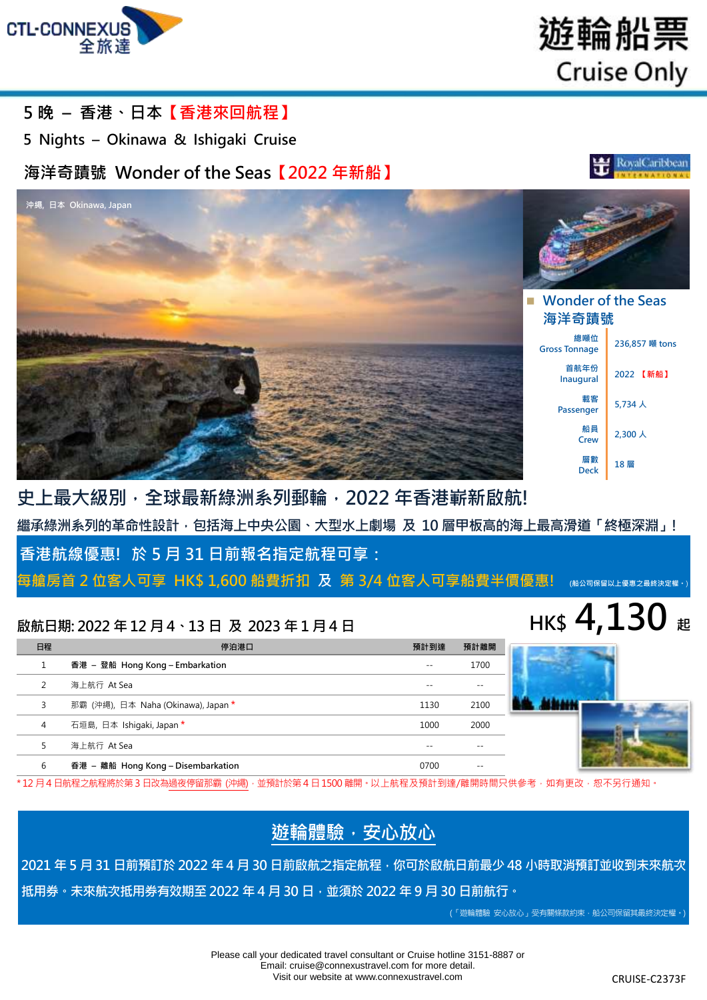

遊輪船票 **Cruise Only** 

### **5 晚 – 香港、日本【香港來回航程】**

**5 Nights – Okinawa & Ishigaki Cruise**

## **海洋奇蹟號 Wonder of the Seas【2022 年新船】**



**史上最大級別,全球最新綠洲系列郵輪,2022 年香港嶄新啟航! 繼承綠洲系列的革命性設計,包括海上中央公園、大型水上劇場 及 10 層甲板高的海上最高滑道「終極深淵」! 香港航線優惠! 於 5 月 31 日前報名指定航程可享: 每艙房首 2 位客人可享 HK\$ 1,600 船費折扣 及 第 3/4 位客人可享船費半價優惠! (船公司保留以上優惠之最終決定權。**)

## **啟航日期: 2022 <sup>年</sup> <sup>12</sup> <sup>月</sup> <sup>4</sup>、<sup>13</sup> <sup>日</sup> <sup>及</sup> <sup>2023</sup> <sup>年</sup> <sup>1</sup> <sup>月</sup> <sup>4</sup> <sup>日</sup> HK\$ 4,130 <sup>起</sup>**

### **日程 停泊港口 預計到達 預計離開** 1 **香港 – 登船 Hong Kong – Embarkation** -- 1700 2 海上航行 At Sea -- -- 3 那霸 (沖繩), 日本 Naha (Okinawa), Japan **\*** 1130 2100 4 石垣島, 日本 Ishigaki, Japan **\*** 1000 2000 5 海上航行 At Sea -- -- 6 **昋港 – 離船 Hong Kong – Disembarkation** 0700 --

\* 12 月4 日航程之航程將於第 3 日改為過夜停留那霸 (沖繩) · 並預計於第 4 日 1500 離開。以上航程及預計到達/離開時間只供參考,如有更改,恕不另行通知。

## **遊輪體驗,安心放心**

**2021 年 5 月 31 日前預訂於 2022 年 4 月 30 日前啟航之指定航程,你可於啟航日前最少 48 小時取消預訂並收到未來航次 抵用券。未來航次抵用券有效期至 2022 年 4 月 30 日,並須於 2022 年 9 月 30 日前航行。**

(「遊輪體驗 安心放心」受有關條款約束,船公司保留其最終決定權。)

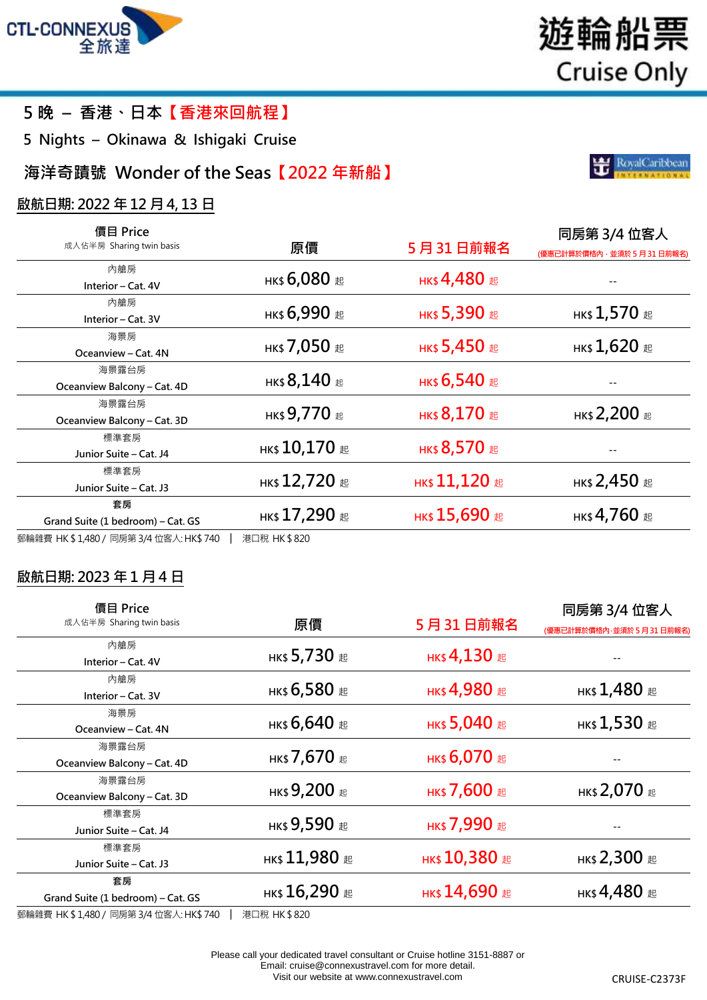Email: [cruise@connexustravel.com](mailto:cruise@connexustravel.com) for more detail.

|  |  |  |  |  |  | 5 晚 – 香港、日本【香港來回航程】 |
|--|--|--|--|--|--|---------------------|
|--|--|--|--|--|--|---------------------|

**5 Nights – Okinawa & Ishigaki Cruise**

## **海洋奇蹟號 Wonder of the Seas【2022 年新船】**

### **啟航日期: 2022 年 12 月 4, 13 日**

| 價目 Price<br>成人佔半房 Sharing twin basis | 原價                                              | 5月31日前報名        | 同房第 3/4 位客人<br>(優惠已計算於價格內,並須於 5 月 31 日前報名) |  |
|--------------------------------------|-------------------------------------------------|-----------------|--------------------------------------------|--|
| 內艙房                                  |                                                 |                 |                                            |  |
| Interior - Cat. 4V                   | нк\$ 6,080 #                                    | нк\$ 4,480 #    |                                            |  |
| 內艙房                                  |                                                 | нк\$ 5,390 #    | нк\$ $1,570$ $\scriptstyle\rm \&$          |  |
| Interior - Cat. 3V                   | нк\$ 6,990 #                                    |                 |                                            |  |
| 海景房                                  |                                                 |                 | нк\$ $1,620$ $\scriptstyle\rm \&$          |  |
| Oceanview - Cat. 4N                  | нк\$ 7,050 $E$                                  | нк\$ 5,450 #    |                                            |  |
| 海景露台房                                |                                                 | нк\$ 6,540 #    |                                            |  |
| Oceanview Balcony - Cat. 4D          | нк\$ $8,140$ #                                  |                 |                                            |  |
| 海景露台房                                |                                                 | нк\$ 8,170 $E$  | нк\$ 2,200 $E$                             |  |
| Oceanview Balcony – Cat. 3D          | нк\$9,770 #                                     |                 |                                            |  |
| 標準套房                                 |                                                 | нк\$ 8,570 #    |                                            |  |
| Junior Suite - Cat. J4               | нк\$ $10,170$ $\scriptstyle\rm \&$              |                 |                                            |  |
| 標準套房                                 |                                                 |                 | нк\$ 2,450 $\text{\tiny{E}}$               |  |
| Junior Suite - Cat. J3               | нк\$ 12,720 $E$                                 | нк\$ 11,120 $#$ |                                            |  |
| 套房                                   |                                                 |                 |                                            |  |
| Grand Suite (1 bedroom) – Cat. GS    | нк\$ $17,290$ $\scriptstyle\rm \scriptstyle \&$ | нк\$ $15,690$ # | нк\$ 4,760 $E$                             |  |
|                                      | $+$ $ \frac{1}{2}$ $+$ $   -$                   |                 |                                            |  |

郵輪雜費 HK \$ 1,480 / 同房第3/4 位客人: HK\$ 740 │ 港口稅 HK \$ 820

### **啟航日期: 2023 年 1 月 4 日**

| 價目 Price<br>成人佔半房 Sharing twin basis     | 原價                                 | 5月31日前報名          | 同房第 3/4 位客人<br>(優惠已計算於價格內·並須於5月31日前報名) |
|------------------------------------------|------------------------------------|-------------------|----------------------------------------|
| 內艙房                                      |                                    |                   |                                        |
| Interior - Cat. 4V                       | нк\$ 5,730 #                       | нк\$ 4,130 $E$    |                                        |
| 內艙房                                      |                                    |                   | нк\$ $1,480$ #                         |
| Interior - Cat. 3V                       | нк\$ 6,580 #                       | нк\$ 4,980 $\,$ # |                                        |
| 海景房                                      |                                    |                   |                                        |
| Oceanview - Cat. 4N                      | нк\$ 6,640 #                       | нк\$ 5,040 $E$    | нк\$ $1,530$ #                         |
| 海景露台房                                    |                                    | нк\$ 6,070 $E$    |                                        |
| Oceanview Balcony - Cat. 4D              | нк\$ 7,670 #                       |                   |                                        |
| 海景露台房                                    |                                    | нк\$ 7,600 $E$    |                                        |
| Oceanview Balcony - Cat. 3D              | <b>нк\$9,200 #</b>                 |                   | нк\$ 2,070 $\,$ $\rm E}$               |
| 標準套房                                     |                                    |                   |                                        |
| Junior Suite - Cat. J4                   | нк\$ 9,590 #                       | нк\$ 7,990 #      |                                        |
| 標準套房                                     |                                    |                   |                                        |
| Junior Suite – Cat. J3                   | нк\$ $11,980$ #                    | нк\$ 10,380 起     | нк\$ 2,300 #                           |
| 套房                                       |                                    | нк\$ $14,690$ #   | нк\$4,480 #                            |
| Grand Suite (1 bedroom) - Cat. GS        | нк\$ $16,290$ $\scriptstyle\rm \&$ |                   |                                        |
| 郵輪雜費 HK \$ 1,480 / 同房第 3/4 位客人: HK\$ 740 | 港口稅 HK\$820                        |                   |                                        |

Please call your dedicated travel consultant or Cruise hotline 3151-8887 or

Visit our website at [www.connexustravel.com](http://www.connexustravel.com/) CRUISE-C2373F





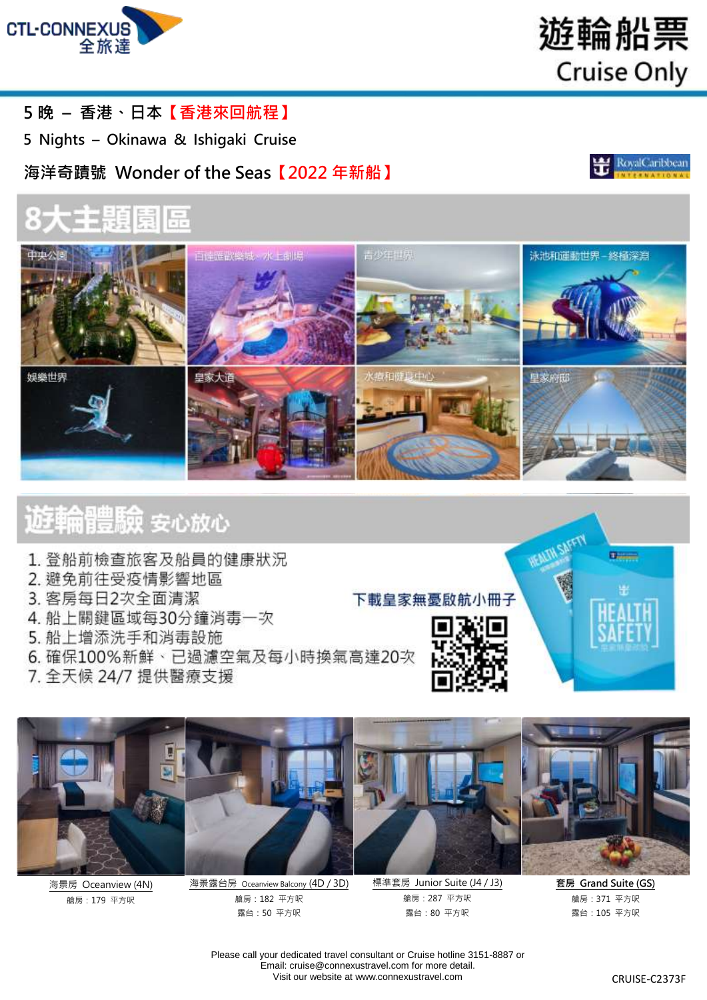



**RoyalCaribbean** 

## **5 晚 – 香港、日本【香港來回航程】**

**5 Nights – Okinawa & Ishigaki Cruise**

## **海洋奇蹟號 Wonder of the Seas【2022 年新船】**

## 8大主題園區



## 旌輪體驗 安心放心

- 1. 登船前檢查旅客及船員的健康狀況
- 2. 避免前往受疫情影響地區
- 3. 客房每日2次全面清潔
- 4. 船上關鍵區域每30分鐘消毒一次
- 5. 船上增添洗手和消毒設施
- 6. 確保100%新鮮、已過濾空氣及每小時換氣高達20次
- 7. 全天候 24/7 提供醫療支援







海景房 Oceanview (4N) 艙房:179 平方呎

海景露台房 Oceanview Balcony (4D / 3D) 艙房:182 平方呎 露台:50 平方呎

艙房:287 平方呎 露台:80 平方呎

艙房:371 平方呎 露台:105 平方呎

Please call your dedicated travel consultant or Cruise hotline 3151-8887 or Email: [cruise@connexustravel.com](mailto:cruise@connexustravel.com) for more detail. Visit our website at [www.connexustravel.com](http://www.connexustravel.com/) example of the critical CRUISE-C2373F